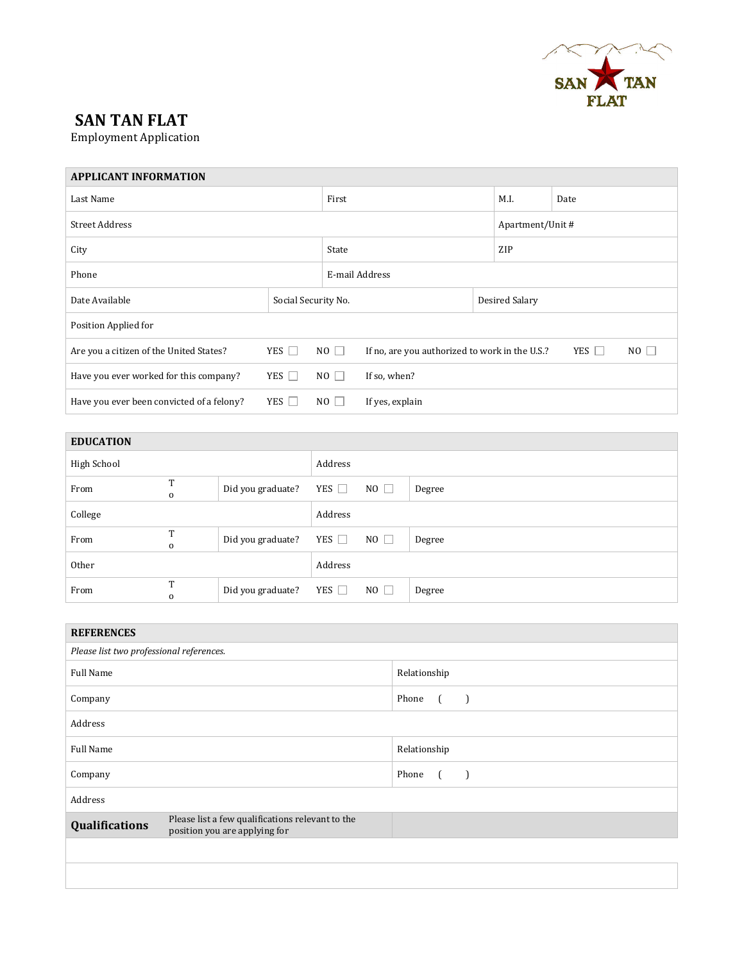

## **SAN TAN FLAT**

Employment Application

## **APPLICANT INFORMATION**

| Last Name                                 |                     |             |                                                | M.I.           | Date             |    |  |  |
|-------------------------------------------|---------------------|-------------|------------------------------------------------|----------------|------------------|----|--|--|
| <b>Street Address</b>                     |                     |             |                                                |                | Apartment/Unit # |    |  |  |
| City                                      |                     |             |                                                | ZIP            |                  |    |  |  |
| Phone                                     |                     |             | E-mail Address                                 |                |                  |    |  |  |
| Date Available                            | Social Security No. |             |                                                | Desired Salary |                  |    |  |  |
| Position Applied for                      |                     |             |                                                |                |                  |    |  |  |
| Are you a citizen of the United States?   | YES $\Box$          | $NO$ $\Box$ | If no, are you authorized to work in the U.S.? |                | YES $\Box$       | NO |  |  |
| Have you ever worked for this company?    | YES $\Box$          | $NO \Box$   | If so, when?                                   |                |                  |    |  |  |
| Have you ever been convicted of a felony? | YES $\Box$          | $NO$ $\Box$ | If yes, explain                                |                |                  |    |  |  |

| <b>EDUCATION</b> |                           |                   |            |             |        |
|------------------|---------------------------|-------------------|------------|-------------|--------|
| High School      |                           |                   | Address    |             |        |
| From             | <b>TP</b><br>$\mathbf 0$  | Did you graduate? | YES $\Box$ | $NO$ $\Box$ | Degree |
| College          |                           |                   | Address    |             |        |
| From             | T<br>$\mathbf 0$          | Did you graduate? | YES $\Box$ | $NO$ $\Box$ | Degree |
| Other            |                           |                   | Address    |             |        |
| From             | <b>TP</b><br>$\mathbf{O}$ | Did you graduate? | YES $\Box$ | $NO$ $\Box$ | Degree |

| <b>REFERENCES</b>                                                                                   |                                   |
|-----------------------------------------------------------------------------------------------------|-----------------------------------|
| Please list two professional references.                                                            |                                   |
| <b>Full Name</b>                                                                                    | Relationship                      |
| Company                                                                                             | Phone                             |
| Address                                                                                             |                                   |
| <b>Full Name</b>                                                                                    | Relationship                      |
| Company                                                                                             | Phone<br>$\overline{\phantom{0}}$ |
| Address                                                                                             |                                   |
| Please list a few qualifications relevant to the<br>Qualifications<br>position you are applying for |                                   |
|                                                                                                     |                                   |